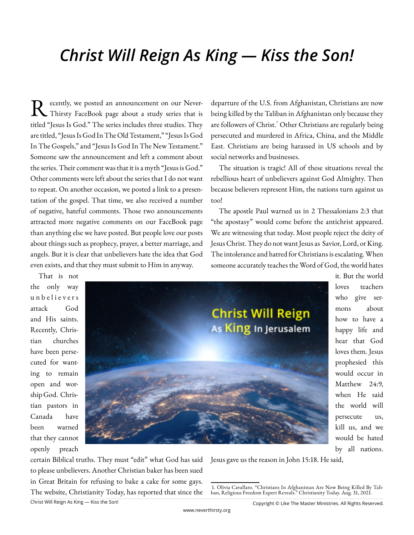# *Christ Will Reign As King — Kiss the Son!*

R ecently, we posted an announcement on our Never-Thirsty FaceBook page about a study series that is titled "Jesus Is God." The series includes three studies. They are titled, "Jesus Is God In The Old Testament," "Jesus Is God In The Gospels," and "Jesus Is God In The New Testament." Someone saw the announcement and left a comment about the series. Their comment was that it is a myth "Jesus is God." Other comments were left about the series that I do not want to repeat. On another occasion, we posted a link to a presentation of the gospel. That time, we also received a number of negative, hateful comments. Those two announcements attracted more negative comments on our FaceBook page than anything else we have posted. But people love our posts about things such as prophecy, prayer, a better marriage, and angels. But it is clear that unbelievers hate the idea that God even exists, and that they must submit to Him in anyway.

departure of the U.S. from Afghanistan, Christians are now being killed by the Taliban in Afghanistan only because they are followers of Christ.<sup>1</sup> Other Christians are regularly being persecuted and murdered in Africa, China, and the Middle East. Christians are being harassed in US schools and by social networks and businesses.

The situation is tragic! All of these situations reveal the rebellious heart of unbelievers against God Almighty. Then because believers represent Him, the nations turn against us too!

The apostle Paul warned us in 2 Thessalonians 2:3 that "the apostasy" would come before the antichrist appeared. We are witnessing that today. Most people reject the deity of Jesus Christ. They do not want Jesus as Savior, Lord, or King. The intolerance and hatred for Christians is escalating. When someone accurately teaches the Word of God, the world hates

That is not the only way u n b e l i e v e r s attack God and His saints. Recently, Christian churches have been persecuted for wanting to remain open and worship God. Christian pastors in Canada have been warned that they cannot openly preach



it. But the world loves teachers who give sermons about how to have a happy life and hear that God loves them. Jesus prophesied this would occur in Matthew 24:9, when He said the world will persecute us, kill us, and we would be hated by all nations.

certain Biblical truths. They must "edit" what God has said to please unbelievers. Another Christian baker has been sued in Great Britain for refusing to bake a cake for some gays. The website, Christianity Today, has reported that since the Jesus gave us the reason in John 15:18. He said,

<sup>1.</sup> Olivia Cavallaro. "Christians In Afghanistan Are Now Being Killed By Taliban, Religious Freedom Expert Reveals." Christianity Today. Aug. 31, 2021.

Copyright © Like The Master Ministries. All Rights Reserved.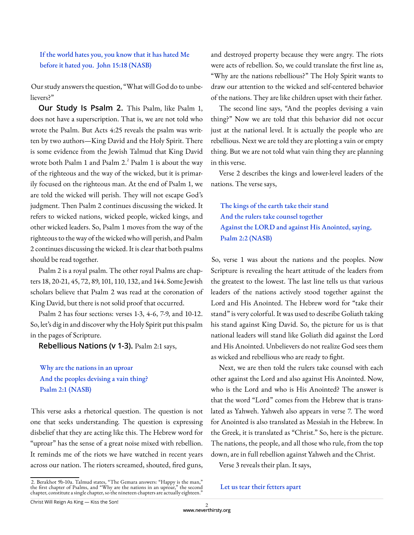### If the world hates you, you know that it has hated Me before it hated you. John 15:18 (NASB)

Our study answers the question, "What will God do to unbelievers?"

**Our Study Is Psalm 2.** This Psalm, like Psalm 1, does not have a superscription. That is, we are not told who wrote the Psalm. But Acts 4:25 reveals the psalm was written by two authors—King David and the Holy Spirit. There is some evidence from the Jewish Talmud that King David wrote both Psalm 1 and Psalm  $2.^2$  Psalm 1 is about the way of the righteous and the way of the wicked, but it is primarily focused on the righteous man. At the end of Psalm 1, we are told the wicked will perish. They will not escape God's judgment. Then Psalm 2 continues discussing the wicked. It refers to wicked nations, wicked people, wicked kings, and other wicked leaders. So, Psalm 1 moves from the way of the righteous to the way of the wicked who will perish, and Psalm 2 continues discussing the wicked. It is clear that both psalms should be read together.

Psalm 2 is a royal psalm. The other royal Psalms are chapters 18, 20-21, 45, 72, 89, 101, 110, 132, and 144. Some Jewish scholars believe that Psalm 2 was read at the coronation of King David, but there is not solid proof that occurred.

Psalm 2 has four sections: verses 1-3, 4-6, 7-9, and 10-12. So, let's dig in and discover why the Holy Spirit put this psalm in the pages of Scripture.

**Rebellious Nations (v 1-3).** Psalm 2:1 says,

Why are the nations in an uproar And the peoples devising a vain thing? Psalm 2:1 (NASB)

This verse asks a rhetorical question. The question is not one that seeks understanding. The question is expressing disbelief that they are acting like this. The Hebrew word for "uproar" has the sense of a great noise mixed with rebellion. It reminds me of the riots we have watched in recent years across our nation. The rioters screamed, shouted, fired guns,

and destroyed property because they were angry. The riots were acts of rebellion. So, we could translate the first line as, "Why are the nations rebellious?" The Holy Spirit wants to draw our attention to the wicked and self-centered behavior of the nations. They are like children upset with their father.

The second line says, "And the peoples devising a vain thing?" Now we are told that this behavior did not occur just at the national level. It is actually the people who are rebellious. Next we are told they are plotting a vain or empty thing. But we are not told what vain thing they are planning in this verse.

Verse 2 describes the kings and lower-level leaders of the nations. The verse says,

The kings of the earth take their stand And the rulers take counsel together Against the LORD and against His Anointed, saying, Psalm 2:2 (NASB)

So, verse 1 was about the nations and the peoples. Now Scripture is revealing the heart attitude of the leaders from the greatest to the lowest. The last line tells us that various leaders of the nations actively stood together against the Lord and His Anointed. The Hebrew word for "take their stand" is very colorful. It was used to describe Goliath taking his stand against King David. So, the picture for us is that national leaders will stand like Goliath did against the Lord and His Anointed. Unbelievers do not realize God sees them as wicked and rebellious who are ready to fight.

Next, we are then told the rulers take counsel with each other against the Lord and also against His Anointed. Now, who is the Lord and who is His Anointed? The answer is that the word "Lord" comes from the Hebrew that is translated as Yahweh. Yahweh also appears in verse 7. The word for Anointed is also translated as Messiah in the Hebrew. In the Greek, it is translated as "Christ." So, here is the picture. The nations, the people, and all those who rule, from the top down, are in full rebellion against Yahweh and the Christ.

Verse 3 reveals their plan. It says,

#### Let us tear their fetters apart

<sup>2.</sup> Berakhot 9b-10a. Talmud states, "The Gemara answers: "Happy is the man,"<br>the first chapter of Psalms, and "Why are the nations in an uproar," the second chapter, constitute a single chapter, so the nineteen chapters are actually eighteen."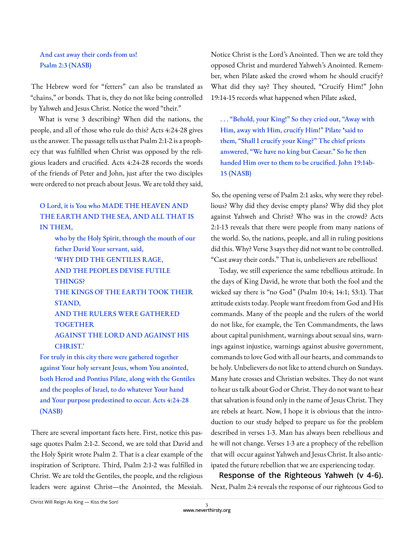## And cast away their cords from us! Psalm 2:3 (NASB)

The Hebrew word for "fetters" can also be translated as "chains," or bonds. That is, they do not like being controlled by Yahweh and Jesus Christ. Notice the word "their."

What is verse 3 describing? When did the nations, the people, and all of those who rule do this? Acts 4:24-28 gives us the answer. The passage tells us that Psalm 2:1-2 is a prophecy that was fulfilled when Christ was opposed by the religious leaders and crucified. Acts 4:24-28 records the words of the friends of Peter and John, just after the two disciples were ordered to not preach about Jesus. We are told they said,

# O Lord, it is You who MADE THE HEAVEN AND THE EARTH AND THE SEA, AND ALL THAT IS IN THEM,

 who by the Holy Spirit, through the mouth of our father David Your servant, said, 'WHY DID THE GENTILES RAGE, AND THE PEOPLES DEVISE FUTILE THINGS? THE KINGS OF THE EARTH TOOK THEIR STAND, AND THE RULERS WERE GATHERED **TOGETHER**  AGAINST THE LORD AND AGAINST HIS CHRIST.'

For truly in this city there were gathered together against Your holy servant Jesus, whom You anointed, both Herod and Pontius Pilate, along with the Gentiles and the peoples of Israel, to do whatever Your hand and Your purpose predestined to occur. Acts 4:24-28 (NASB)

There are several important facts here. First, notice this passage quotes Psalm 2:1-2. Second, we are told that David and the Holy Spirit wrote Psalm 2. That is a clear example of the inspiration of Scripture. Third, Psalm 2:1-2 was fulfilled in Christ. We are told the Gentiles, the people, and the religious leaders were against Christ—the Anointed, the Messiah. Notice Christ is the Lord's Anointed. Then we are told they opposed Christ and murdered Yahweh's Anointed. Remember, when Pilate asked the crowd whom he should crucify? What did they say? They shouted, "Crucify Him!" John 19:14-15 records what happened when Pilate asked,

. . . "Behold, your King!" So they cried out, "Away with Him, away with Him, crucify Him!" Pilate \*said to them, "Shall I crucify your King?" The chief priests answered, "We have no king but Caesar." So he then handed Him over to them to be crucified. John 19:14b-15 (NASB)

So, the opening verse of Psalm 2:1 asks, why were they rebellious? Why did they devise empty plans? Why did they plot against Yahweh and Christ? Who was in the crowd? Acts 2:1-13 reveals that there were people from many nations of the world. So, the nations, people, and all in ruling positions did this. Why? Verse 3 says they did not want to be controlled. "Cast away their cords." That is, unbelievers are rebellious!

Today, we still experience the same rebellious attitude. In the days of King David, he wrote that both the fool and the wicked say there is "no God" (Psalm 10:4; 14:1; 53:1). That attitude exists today. People want freedom from God and His commands. Many of the people and the rulers of the world do not like, for example, the Ten Commandments, the laws about capital punishment, warnings about sexual sins, warnings against injustice, warnings against abusive government, commands to love God with all our hearts, and commands to be holy. Unbelievers do not like to attend church on Sundays. Many hate crosses and Christian websites. They do not want to hear us talk about God or Christ. They do not want to hear that salvation is found only in the name of Jesus Christ. They are rebels at heart. Now, I hope it is obvious that the introduction to our study helped to prepare us for the problem described in verses 1-3. Man has always been rebellious and he will not change. Verses 1-3 are a prophecy of the rebellion that will occur against Yahweh and Jesus Christ. It also anticipated the future rebellion that we are experiencing today.

**Response of the Righteous Yahweh (v 4-6).**  Next, Psalm 2:4 reveals the response of our righteous God to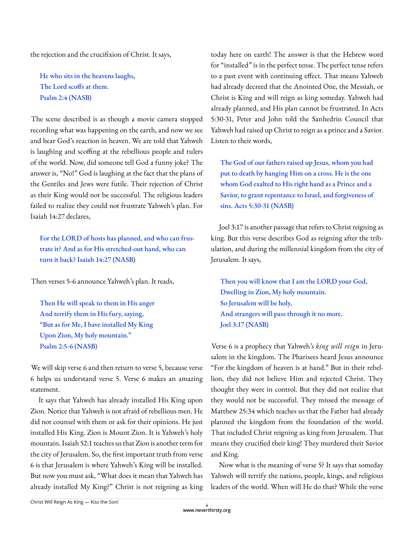the rejection and the crucifixion of Christ. It says,

He who sits in the heavens laughs, The Lord scoffs at them. Psalm 2:4 (NASB)

The scene described is as though a movie camera stopped recording what was happening on the earth, and now we see and hear God's reaction in heaven. We are told that Yahweh is laughing and scoffing at the rebellious people and rulers of the world. Now, did someone tell God a funny joke? The answer is, "No!" God is laughing at the fact that the plans of the Gentiles and Jews were futile. Their rejection of Christ as their King would not be successful. The religious leaders failed to realize they could not frustrate Yahweh's plan. For Isaiah 14:27 declares,

For the LORD of hosts has planned, and who can frustrate it? And as for His stretched-out hand, who can turn it back? Isaiah 14:27 (NASB)

Then verses 5-6 announce Yahweh's plan. It reads,

Then He will speak to them in His anger And terrify them in His fury, saying, "But as for Me, I have installed My King Upon Zion, My holy mountain." Psalm 2:5-6 (NASB)

We will skip verse 6 and then return to verse 5, because verse 6 helps us understand verse 5. Verse 6 makes an amazing statement.

It says that Yahweh has already installed His King upon Zion. Notice that Yahweh is not afraid of rebellious men. He did not counsel with them or ask for their opinions. He just installed His King. Zion is Mount Zion. It is Yahweh's holy mountain. Isaiah 52:1 teaches us that Zion is another term for the city of Jerusalem. So, the first important truth from verse 6 is that Jerusalem is where Yahweh's King will be installed. But now you must ask, "What does it mean that Yahweh has already installed My King?" Christ is not reigning as king

today here on earth! The answer is that the Hebrew word for "installed" is in the perfect tense. The perfect tense refers to a past event with continuing effect. That means Yahweh had already decreed that the Anointed One, the Messiah, or Christ is King and will reign as king someday. Yahweh had already planned, and His plan cannot be frustrated. In Acts 5:30-31, Peter and John told the Sanhedrin Council that Yahweh had raised up Christ to reign as a prince and a Savior. Listen to their words,

The God of our fathers raised up Jesus, whom you had put to death by hanging Him on a cross. He is the one whom God exalted to His right hand as a Prince and a Savior, to grant repentance to Israel, and forgiveness of sins. Acts 5:30-31 (NASB)

Joel 3:17 is another passage that refers to Christ reigning as king. But this verse describes God as reigning after the tribulation, and during the millennial kingdom from the city of Jerusalem. It says,

Then you will know that I am the LORD your God, Dwelling in Zion, My holy mountain. So Jerusalem will be holy, And strangers will pass through it no more. Joel 3:17 (NASB)

Verse 6 is a prophecy that Yahweh's *king will reign* in Jerusalem in the kingdom. The Pharisees heard Jesus announce "For the kingdom of heaven is at hand." But in their rebellion, they did not believe Him and rejected Christ. They thought they were in control. But they did not realize that they would not be successful. They missed the message of Matthew 25:34 which teaches us that the Father had already planned the kingdom from the foundation of the world. That included Christ reigning as king from Jerusalem. That means they crucified their king! They murdered their Savior and King.

Now what is the meaning of verse 5? It says that someday Yahweh will terrify the nations, people, kings, and religious leaders of the world. When will He do that? While the verse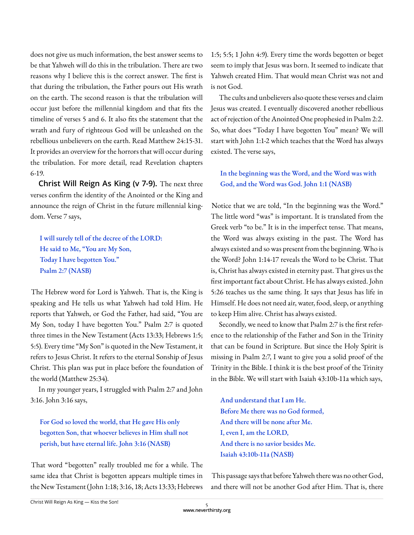does not give us much information, the best answer seems to be that Yahweh will do this in the tribulation. There are two reasons why I believe this is the correct answer. The first is that during the tribulation, the Father pours out His wrath on the earth. The second reason is that the tribulation will occur just before the millennial kingdom and that fits the timeline of verses 5 and 6. It also fits the statement that the wrath and fury of righteous God will be unleashed on the rebellious unbelievers on the earth. Read Matthew 24:15-31. It provides an overview for the horrors that will occur during the tribulation. For more detail, read Revelation chapters 6-19.

**Christ Will Reign As King (v 7-9).** The next three verses confirm the identity of the Anointed or the King and announce the reign of Christ in the future millennial kingdom. Verse 7 says,

I will surely tell of the decree of the LORD: He said to Me, "You are My Son, Today I have begotten You." Psalm 2:7 (NASB)

The Hebrew word for Lord is Yahweh. That is, the King is speaking and He tells us what Yahweh had told Him. He reports that Yahweh, or God the Father, had said, "You are My Son, today I have begotten You." Psalm 2:7 is quoted three times in the New Testament (Acts 13:33; Hebrews 1:5; 5:5). Every time "My Son" is quoted in the New Testament, it refers to Jesus Christ. It refers to the eternal Sonship of Jesus Christ. This plan was put in place before the foundation of the world (Matthew 25:34).

In my younger years, I struggled with Psalm 2:7 and John 3:16. John 3:16 says,

For God so loved the world, that He gave His only begotten Son, that whoever believes in Him shall not perish, but have eternal life. John 3:16 (NASB)

That word "begotten" really troubled me for a while. The same idea that Christ is begotten appears multiple times in the New Testament (John 1:18; 3:16, 18; Acts 13:33; Hebrews 1:5; 5:5; 1 John 4:9). Every time the words begotten or beget seem to imply that Jesus was born. It seemed to indicate that Yahweh created Him. That would mean Christ was not and is not God.

The cults and unbelievers also quote these verses and claim Jesus was created. I eventually discovered another rebellious act of rejection of the Anointed One prophesied in Psalm 2:2. So, what does "Today I have begotten You" mean? We will start with John 1:1-2 which teaches that the Word has always existed. The verse says,

In the beginning was the Word, and the Word was with God, and the Word was God. John 1:1 (NASB)

Notice that we are told, "In the beginning was the Word." The little word "was" is important. It is translated from the Greek verb "to be." It is in the imperfect tense. That means, the Word was always existing in the past. The Word has always existed and so was present from the beginning. Who is the Word? John 1:14-17 reveals the Word to be Christ. That is, Christ has always existed in eternity past. That gives us the first important fact about Christ. He has always existed. John 5:26 teaches us the same thing. It says that Jesus has life in Himself. He does not need air, water, food, sleep, or anything to keep Him alive. Christ has always existed.

Secondly, we need to know that Psalm 2:7 is the first reference to the relationship of the Father and Son in the Trinity that can be found in Scripture. But since the Holy Spirit is missing in Psalm 2:7, I want to give you a solid proof of the Trinity in the Bible. I think it is the best proof of the Trinity in the Bible. We will start with Isaiah 43:10b-11a which says,

And understand that I am He. Before Me there was no God formed, And there will be none after Me. I, even I, am the LORD, And there is no savior besides Me. Isaiah 43:10b-11a (NASB)

This passage says that before Yahweh there was no other God, and there will not be another God after Him. That is, there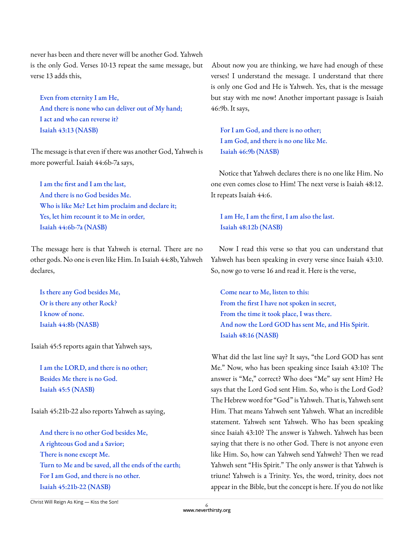never has been and there never will be another God. Yahweh is the only God. Verses 10-13 repeat the same message, but verse 13 adds this,

Even from eternity I am He, And there is none who can deliver out of My hand; I act and who can reverse it? Isaiah 43:13 (NASB)

The message is that even if there was another God, Yahweh is more powerful. Isaiah 44:6b-7a says,

I am the first and I am the last, And there is no God besides Me. Who is like Me? Let him proclaim and declare it; Yes, let him recount it to Me in order, Isaiah 44:6b-7a (NASB)

The message here is that Yahweh is eternal. There are no other gods. No one is even like Him. In Isaiah 44:8b, Yahweh declares,

Is there any God besides Me, Or is there any other Rock? I know of none. Isaiah 44:8b (NASB)

Isaiah 45:5 reports again that Yahweh says,

I am the LORD, and there is no other; Besides Me there is no God. Isaiah 45:5 (NASB)

Isaiah 45:21b-22 also reports Yahweh as saying,

And there is no other God besides Me, A righteous God and a Savior; There is none except Me. Turn to Me and be saved, all the ends of the earth; For I am God, and there is no other. Isaiah 45:21b-22 (NASB)

About now you are thinking, we have had enough of these verses! I understand the message. I understand that there is only one God and He is Yahweh. Yes, that is the message but stay with me now! Another important passage is Isaiah 46:9b. It says,

For I am God, and there is no other; I am God, and there is no one like Me. Isaiah 46:9b (NASB)

Notice that Yahweh declares there is no one like Him. No one even comes close to Him! The next verse is Isaiah 48:12. It repeats Isaiah 44:6.

I am He, I am the first, I am also the last. Isaiah 48:12b (NASB)

Now I read this verse so that you can understand that Yahweh has been speaking in every verse since Isaiah 43:10. So, now go to verse 16 and read it. Here is the verse,

Come near to Me, listen to this: From the first I have not spoken in secret, From the time it took place, I was there. And now the Lord GOD has sent Me, and His Spirit. Isaiah 48:16 (NASB)

What did the last line say? It says, "the Lord GOD has sent Me." Now, who has been speaking since Isaiah 43:10? The answer is "Me," correct? Who does "Me" say sent Him? He says that the Lord God sent Him. So, who is the Lord God? The Hebrew word for "God" is Yahweh. That is, Yahweh sent Him. That means Yahweh sent Yahweh. What an incredible statement. Yahweh sent Yahweh. Who has been speaking since Isaiah 43:10? The answer is Yahweh. Yahweh has been saying that there is no other God. There is not anyone even like Him. So, how can Yahweh send Yahweh? Then we read Yahweh sent "His Spirit." The only answer is that Yahweh is triune! Yahweh is a Trinity. Yes, the word, trinity, does not appear in the Bible, but the concept is here. If you do not like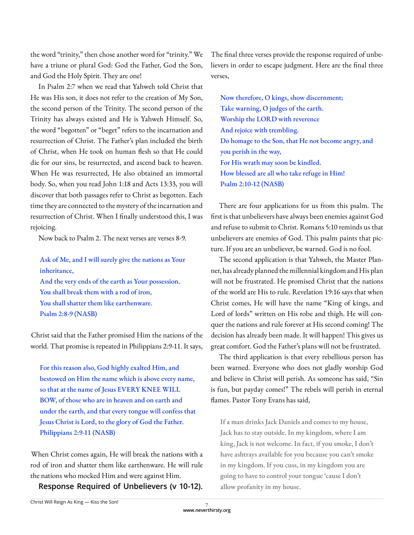the word "trinity," then chose another word for "trinity." We have a triune or plural God: God the Father, God the Son, and God the Holy Spirit. They are one!

In Psalm 2:7 when we read that Yahweh told Christ that He was His son, it does not refer to the creation of My Son, the second person of the Trinity. The second person of the Trinity has always existed and He is Yahweh Himself. So, the word "begotten" or "beget" refers to the incarnation and resurrection of Christ. The Father's plan included the birth of Christ, when He took on human flesh so that He could die for our sins, be resurrected, and ascend back to heaven. When He was resurrected, He also obtained an immortal body. So, when you read John 1:18 and Acts 13:33, you will discover that both passages refer to Christ as begotten. Each time they are connected to the mystery of the incarnation and resurrection of Christ. When I finally understood this, I was rejoicing.

Now back to Psalm 2. The next verses are verses 8-9.

Ask of Me, and I will surely give the nations as Your inheritance, And the very ends of the earth as Your possession. You shall break them with a rod of iron, You shall shatter them like earthenware. Psalm 2:8-9 (NASB)

Christ said that the Father promised Him the nations of the world. That promise is repeated in Philippians 2:9-11. It says,

For this reason also, God highly exalted Him, and bestowed on Him the name which is above every name, so that at the name of Jesus EVERY KNEE WILL BOW, of those who are in heaven and on earth and under the earth, and that every tongue will confess that Jesus Christ is Lord, to the glory of God the Father. Philippians 2:9-11 (NASB)

When Christ comes again, He will break the nations with a rod of iron and shatter them like earthenware. He will rule the nations who mocked Him and were against Him.

**Response Required of Unbelievers (v 10-12).** 

The final three verses provide the response required of unbelievers in order to escape judgment. Here are the final three verses,

Now therefore, O kings, show discernment; Take warning, O judges of the earth. Worship the LORD with reverence And rejoice with trembling. Do homage to the Son, that He not become angry, and you perish in the way, For His wrath may soon be kindled. How blessed are all who take refuge in Him! Psalm 2:10-12 (NASB)

There are four applications for us from this psalm. The first is that unbelievers have always been enemies against God and refuse to submit to Christ. Romans 5:10 reminds us that unbelievers are enemies of God. This psalm paints that picture. If you are an unbeliever, be warned. God is no fool.

The second application is that Yahweh, the Master Planner, has already planned the millennial kingdom and His plan will not be frustrated. He promised Christ that the nations of the world are His to rule. Revelation 19:16 says that when Christ comes, He will have the name "King of kings, and Lord of lords" written on His robe and thigh. He will conquer the nations and rule forever at His second coming! The decision has already been made. It will happen! This gives us great comfort. God the Father's plans will not be frustrated.

The third application is that every rebellious person has been warned. Everyone who does not gladly worship God and believe in Christ will perish. As someone has said, "Sin is fun, but payday comes!" The rebels will perish in eternal flames. Pastor Tony Evans has said,

If a man drinks Jack Daniels and comes to my house, Jack has to stay outside. In my kingdom, where I am king, Jack is not welcome. In fact, if you smoke, I don't have ashtrays available for you because you can't smoke in my kingdom. If you cuss, in my kingdom you are going to have to control your tongue 'cause I don't allow profanity in my house.